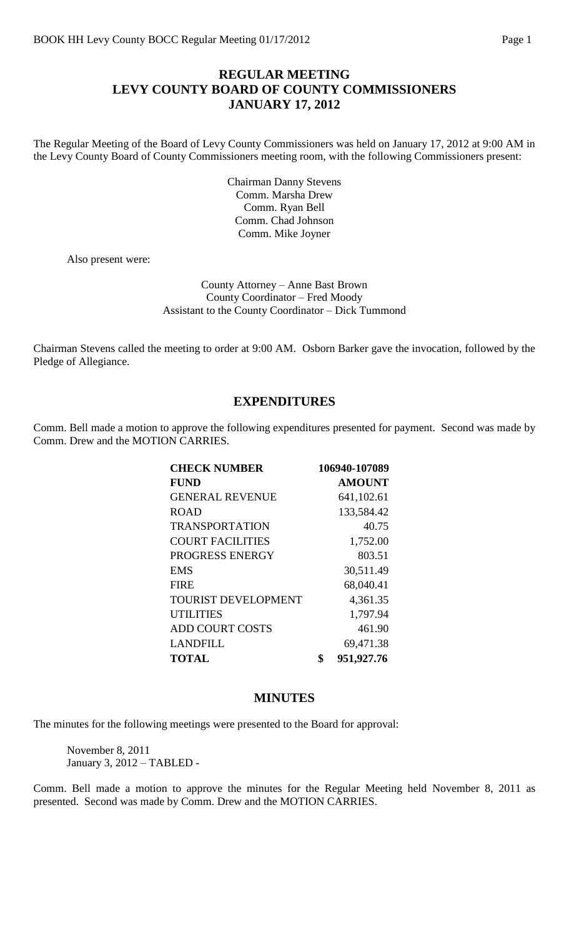## **REGULAR MEETING LEVY COUNTY BOARD OF COUNTY COMMISSIONERS JANUARY 17, 2012**

The Regular Meeting of the Board of Levy County Commissioners was held on January 17, 2012 at 9:00 AM in the Levy County Board of County Commissioners meeting room, with the following Commissioners present:

> Chairman Danny Stevens Comm. Marsha Drew Comm. Ryan Bell Comm. Chad Johnson Comm. Mike Joyner

Also present were:

### County Attorney – Anne Bast Brown County Coordinator – Fred Moody Assistant to the County Coordinator – Dick Tummond

Chairman Stevens called the meeting to order at 9:00 AM. Osborn Barker gave the invocation, followed by the Pledge of Allegiance.

## **EXPENDITURES**

Comm. Bell made a motion to approve the following expenditures presented for payment. Second was made by Comm. Drew and the MOTION CARRIES.

| <b>CHECK NUMBER</b>        | 106940-107089 |
|----------------------------|---------------|
| <b>FUND</b>                | <b>AMOUNT</b> |
| <b>GENERAL REVENUE</b>     | 641,102.61    |
| <b>ROAD</b>                | 133,584.42    |
| <b>TRANSPORTATION</b>      | 40.75         |
| <b>COURT FACILITIES</b>    | 1,752.00      |
| PROGRESS ENERGY            | 803.51        |
| <b>EMS</b>                 | 30,511.49     |
| <b>FIRE</b>                | 68,040.41     |
| <b>TOURIST DEVELOPMENT</b> | 4,361.35      |
| <b>UTILITIES</b>           | 1,797.94      |
| <b>ADD COURT COSTS</b>     | 461.90        |
| <b>LANDFILL</b>            | 69,471.38     |
| <b>TOTAL</b>               | 951,927.76    |

### **MINUTES**

The minutes for the following meetings were presented to the Board for approval:

November 8, 2011 January 3, 2012 – TABLED -

Comm. Bell made a motion to approve the minutes for the Regular Meeting held November 8, 2011 as presented. Second was made by Comm. Drew and the MOTION CARRIES.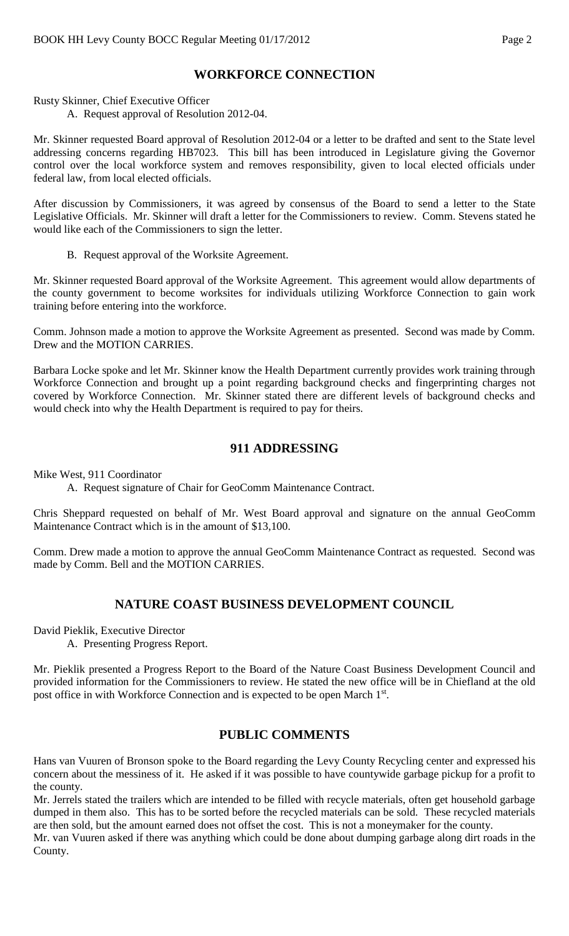# **WORKFORCE CONNECTION**

Rusty Skinner, Chief Executive Officer A. Request approval of Resolution 2012-04.

Mr. Skinner requested Board approval of Resolution 2012-04 or a letter to be drafted and sent to the State level addressing concerns regarding HB7023. This bill has been introduced in Legislature giving the Governor control over the local workforce system and removes responsibility, given to local elected officials under federal law, from local elected officials.

After discussion by Commissioners, it was agreed by consensus of the Board to send a letter to the State Legislative Officials. Mr. Skinner will draft a letter for the Commissioners to review. Comm. Stevens stated he would like each of the Commissioners to sign the letter.

B. Request approval of the Worksite Agreement.

Mr. Skinner requested Board approval of the Worksite Agreement. This agreement would allow departments of the county government to become worksites for individuals utilizing Workforce Connection to gain work training before entering into the workforce.

Comm. Johnson made a motion to approve the Worksite Agreement as presented. Second was made by Comm. Drew and the MOTION CARRIES.

Barbara Locke spoke and let Mr. Skinner know the Health Department currently provides work training through Workforce Connection and brought up a point regarding background checks and fingerprinting charges not covered by Workforce Connection. Mr. Skinner stated there are different levels of background checks and would check into why the Health Department is required to pay for theirs.

# **911 ADDRESSING**

Mike West, 911 Coordinator

A. Request signature of Chair for GeoComm Maintenance Contract.

Chris Sheppard requested on behalf of Mr. West Board approval and signature on the annual GeoComm Maintenance Contract which is in the amount of \$13,100.

Comm. Drew made a motion to approve the annual GeoComm Maintenance Contract as requested. Second was made by Comm. Bell and the MOTION CARRIES.

# **NATURE COAST BUSINESS DEVELOPMENT COUNCIL**

David Pieklik, Executive Director

A. Presenting Progress Report.

Mr. Pieklik presented a Progress Report to the Board of the Nature Coast Business Development Council and provided information for the Commissioners to review. He stated the new office will be in Chiefland at the old post office in with Workforce Connection and is expected to be open March 1st.

### **PUBLIC COMMENTS**

Hans van Vuuren of Bronson spoke to the Board regarding the Levy County Recycling center and expressed his concern about the messiness of it. He asked if it was possible to have countywide garbage pickup for a profit to the county.

Mr. Jerrels stated the trailers which are intended to be filled with recycle materials, often get household garbage dumped in them also. This has to be sorted before the recycled materials can be sold. These recycled materials are then sold, but the amount earned does not offset the cost. This is not a moneymaker for the county.

Mr. van Vuuren asked if there was anything which could be done about dumping garbage along dirt roads in the County.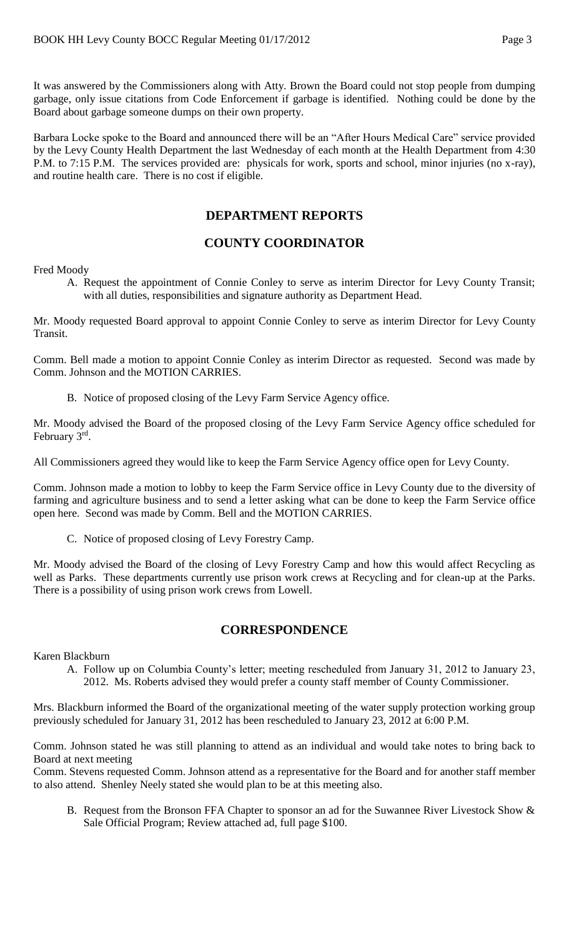It was answered by the Commissioners along with Atty. Brown the Board could not stop people from dumping garbage, only issue citations from Code Enforcement if garbage is identified. Nothing could be done by the Board about garbage someone dumps on their own property.

Barbara Locke spoke to the Board and announced there will be an "After Hours Medical Care" service provided by the Levy County Health Department the last Wednesday of each month at the Health Department from 4:30 P.M. to 7:15 P.M. The services provided are: physicals for work, sports and school, minor injuries (no x-ray), and routine health care. There is no cost if eligible.

# **DEPARTMENT REPORTS**

# **COUNTY COORDINATOR**

Fred Moody

A. Request the appointment of Connie Conley to serve as interim Director for Levy County Transit; with all duties, responsibilities and signature authority as Department Head.

Mr. Moody requested Board approval to appoint Connie Conley to serve as interim Director for Levy County Transit.

Comm. Bell made a motion to appoint Connie Conley as interim Director as requested. Second was made by Comm. Johnson and the MOTION CARRIES.

B. Notice of proposed closing of the Levy Farm Service Agency office.

Mr. Moody advised the Board of the proposed closing of the Levy Farm Service Agency office scheduled for February 3rd.

All Commissioners agreed they would like to keep the Farm Service Agency office open for Levy County.

Comm. Johnson made a motion to lobby to keep the Farm Service office in Levy County due to the diversity of farming and agriculture business and to send a letter asking what can be done to keep the Farm Service office open here. Second was made by Comm. Bell and the MOTION CARRIES.

C. Notice of proposed closing of Levy Forestry Camp.

Mr. Moody advised the Board of the closing of Levy Forestry Camp and how this would affect Recycling as well as Parks. These departments currently use prison work crews at Recycling and for clean-up at the Parks. There is a possibility of using prison work crews from Lowell.

# **CORRESPONDENCE**

Karen Blackburn

A. Follow up on Columbia County's letter; meeting rescheduled from January 31, 2012 to January 23, 2012. Ms. Roberts advised they would prefer a county staff member of County Commissioner.

Mrs. Blackburn informed the Board of the organizational meeting of the water supply protection working group previously scheduled for January 31, 2012 has been rescheduled to January 23, 2012 at 6:00 P.M.

Comm. Johnson stated he was still planning to attend as an individual and would take notes to bring back to Board at next meeting

Comm. Stevens requested Comm. Johnson attend as a representative for the Board and for another staff member to also attend. Shenley Neely stated she would plan to be at this meeting also.

B. Request from the Bronson FFA Chapter to sponsor an ad for the Suwannee River Livestock Show & Sale Official Program; Review attached ad, full page \$100.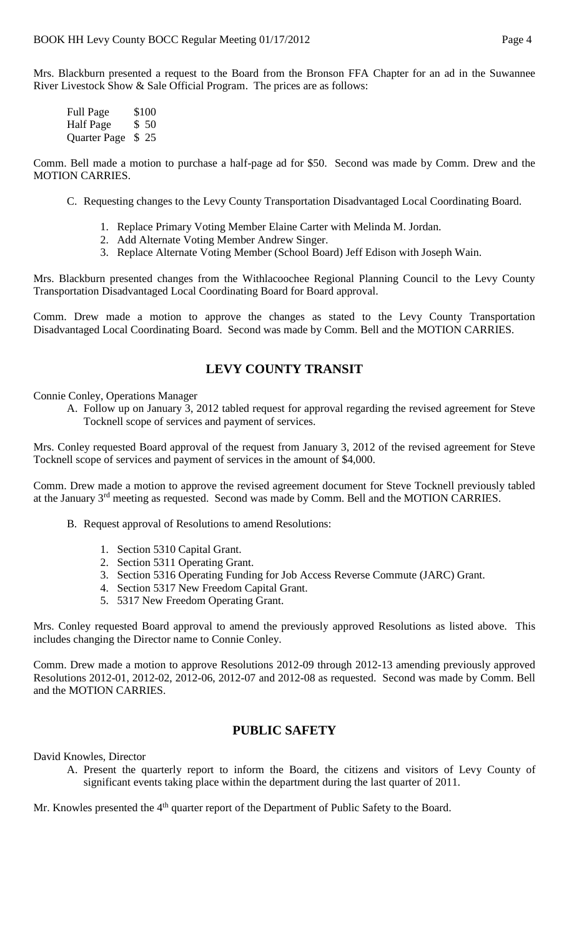Mrs. Blackburn presented a request to the Board from the Bronson FFA Chapter for an ad in the Suwannee River Livestock Show & Sale Official Program. The prices are as follows:

| Full Page         | \$100 |
|-------------------|-------|
| Half Page         | \$50  |
| Quarter Page \$25 |       |

Comm. Bell made a motion to purchase a half-page ad for \$50. Second was made by Comm. Drew and the MOTION CARRIES.

- C. Requesting changes to the Levy County Transportation Disadvantaged Local Coordinating Board.
	- 1. Replace Primary Voting Member Elaine Carter with Melinda M. Jordan.
	- 2. Add Alternate Voting Member Andrew Singer.
	- 3. Replace Alternate Voting Member (School Board) Jeff Edison with Joseph Wain.

Mrs. Blackburn presented changes from the Withlacoochee Regional Planning Council to the Levy County Transportation Disadvantaged Local Coordinating Board for Board approval.

Comm. Drew made a motion to approve the changes as stated to the Levy County Transportation Disadvantaged Local Coordinating Board. Second was made by Comm. Bell and the MOTION CARRIES.

# **LEVY COUNTY TRANSIT**

#### Connie Conley, Operations Manager

A. Follow up on January 3, 2012 tabled request for approval regarding the revised agreement for Steve Tocknell scope of services and payment of services.

Mrs. Conley requested Board approval of the request from January 3, 2012 of the revised agreement for Steve Tocknell scope of services and payment of services in the amount of \$4,000.

Comm. Drew made a motion to approve the revised agreement document for Steve Tocknell previously tabled at the January 3rd meeting as requested. Second was made by Comm. Bell and the MOTION CARRIES.

- B. Request approval of Resolutions to amend Resolutions:
	- 1. Section 5310 Capital Grant.
	- 2. Section 5311 Operating Grant.
	- 3. Section 5316 Operating Funding for Job Access Reverse Commute (JARC) Grant.
	- 4. Section 5317 New Freedom Capital Grant.
	- 5. 5317 New Freedom Operating Grant.

Mrs. Conley requested Board approval to amend the previously approved Resolutions as listed above. This includes changing the Director name to Connie Conley.

Comm. Drew made a motion to approve Resolutions 2012-09 through 2012-13 amending previously approved Resolutions 2012-01, 2012-02, 2012-06, 2012-07 and 2012-08 as requested. Second was made by Comm. Bell and the MOTION CARRIES.

### **PUBLIC SAFETY**

David Knowles, Director

A. Present the quarterly report to inform the Board, the citizens and visitors of Levy County of significant events taking place within the department during the last quarter of 2011.

Mr. Knowles presented the 4<sup>th</sup> quarter report of the Department of Public Safety to the Board.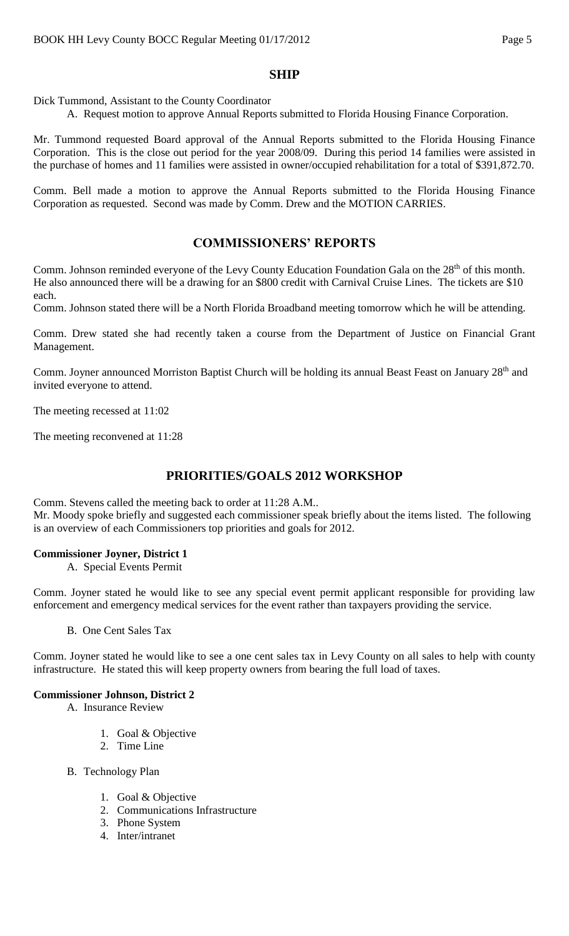### **SHIP**

Dick Tummond, Assistant to the County Coordinator

A. Request motion to approve Annual Reports submitted to Florida Housing Finance Corporation.

Mr. Tummond requested Board approval of the Annual Reports submitted to the Florida Housing Finance Corporation. This is the close out period for the year 2008/09. During this period 14 families were assisted in the purchase of homes and 11 families were assisted in owner/occupied rehabilitation for a total of \$391,872.70.

Comm. Bell made a motion to approve the Annual Reports submitted to the Florida Housing Finance Corporation as requested. Second was made by Comm. Drew and the MOTION CARRIES.

### **COMMISSIONERS' REPORTS**

Comm. Johnson reminded everyone of the Levy County Education Foundation Gala on the 28<sup>th</sup> of this month. He also announced there will be a drawing for an \$800 credit with Carnival Cruise Lines. The tickets are \$10 each.

Comm. Johnson stated there will be a North Florida Broadband meeting tomorrow which he will be attending.

Comm. Drew stated she had recently taken a course from the Department of Justice on Financial Grant Management.

Comm. Joyner announced Morriston Baptist Church will be holding its annual Beast Feast on January 28<sup>th</sup> and invited everyone to attend.

The meeting recessed at 11:02

The meeting reconvened at 11:28

# **PRIORITIES/GOALS 2012 WORKSHOP**

Comm. Stevens called the meeting back to order at 11:28 A.M..

Mr. Moody spoke briefly and suggested each commissioner speak briefly about the items listed. The following is an overview of each Commissioners top priorities and goals for 2012.

### **Commissioner Joyner, District 1**

A. Special Events Permit

Comm. Joyner stated he would like to see any special event permit applicant responsible for providing law enforcement and emergency medical services for the event rather than taxpayers providing the service.

B. One Cent Sales Tax

Comm. Joyner stated he would like to see a one cent sales tax in Levy County on all sales to help with county infrastructure. He stated this will keep property owners from bearing the full load of taxes.

#### **Commissioner Johnson, District 2**

- A. Insurance Review
	- 1. Goal & Objective
	- 2. Time Line
- B. Technology Plan
	- 1. Goal & Objective
	- 2. Communications Infrastructure
	- 3. Phone System
	- 4. Inter/intranet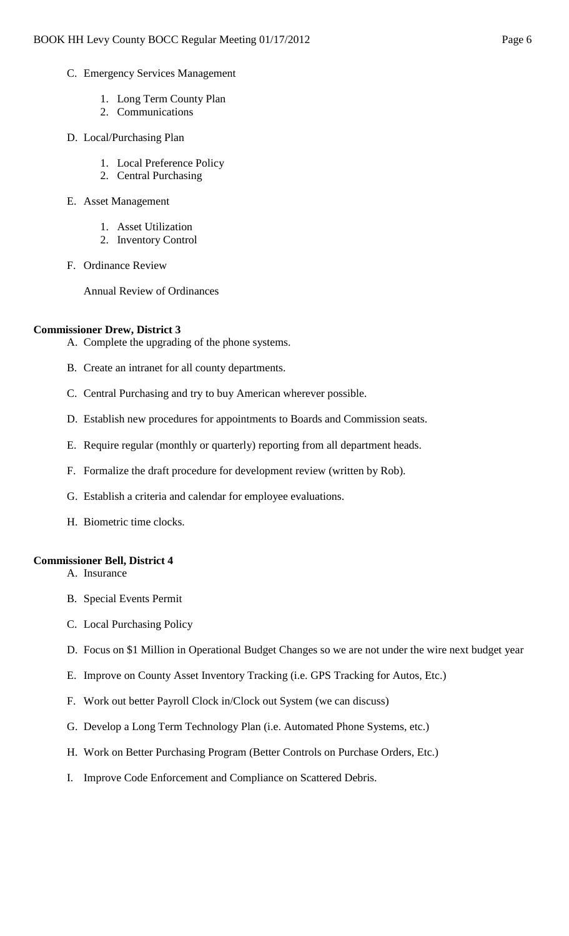- C. Emergency Services Management
	- 1. Long Term County Plan
	- 2. Communications
- D. Local/Purchasing Plan
	- 1. Local Preference Policy
	- 2. Central Purchasing
- E. Asset Management
	- 1. Asset Utilization
	- 2. Inventory Control
- F. Ordinance Review

Annual Review of Ordinances

### **Commissioner Drew, District 3**

- A. Complete the upgrading of the phone systems.
- B. Create an intranet for all county departments.
- C. Central Purchasing and try to buy American wherever possible.
- D. Establish new procedures for appointments to Boards and Commission seats.
- E. Require regular (monthly or quarterly) reporting from all department heads.
- F. Formalize the draft procedure for development review (written by Rob).
- G. Establish a criteria and calendar for employee evaluations.
- H. Biometric time clocks.

#### **Commissioner Bell, District 4**

- A. Insurance
- B. Special Events Permit
- C. Local Purchasing Policy
- D. Focus on \$1 Million in Operational Budget Changes so we are not under the wire next budget year
- E. Improve on County Asset Inventory Tracking (i.e. GPS Tracking for Autos, Etc.)
- F. Work out better Payroll Clock in/Clock out System (we can discuss)
- G. Develop a Long Term Technology Plan (i.e. Automated Phone Systems, etc.)
- H. Work on Better Purchasing Program (Better Controls on Purchase Orders, Etc.)
- I. Improve Code Enforcement and Compliance on Scattered Debris.